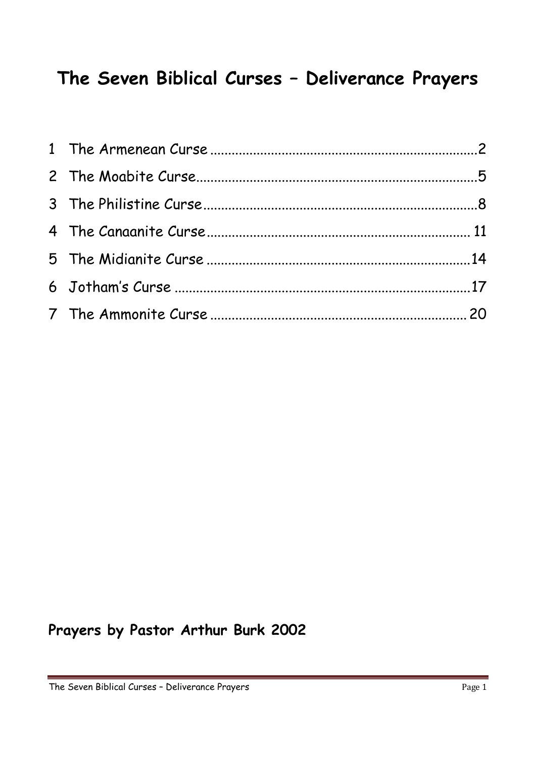# **The Seven Biblical Curses – Deliverance Prayers**

## **Prayers by Pastor Arthur Burk 2002**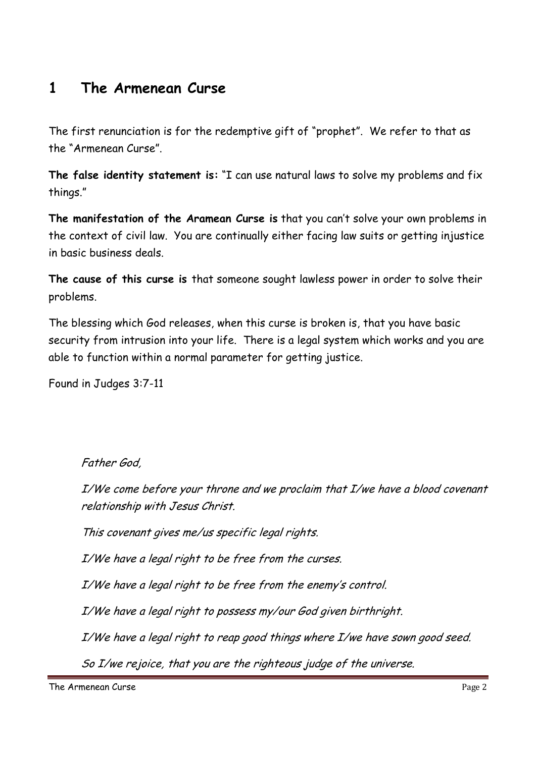### **1 The Armenean Curse**

The first renunciation is for the redemptive gift of "prophet". We refer to that as the "Armenean Curse".

**The false identity statement is:** "I can use natural laws to solve my problems and fix things."

**The manifestation of the Aramean Curse is** that you can't solve your own problems in the context of civil law. You are continually either facing law suits or getting injustice in basic business deals.

**The cause of this curse is** that someone sought lawless power in order to solve their problems.

The blessing which God releases, when this curse is broken is, that you have basic security from intrusion into your life. There is a legal system which works and you are able to function within a normal parameter for getting justice.

Found in Judges 3:7-11

Father God,

I/We come before your throne and we proclaim that I/we have a blood covenant relationship with Jesus Christ.

This covenant gives me/us specific legal rights.

I/We have a legal right to be free from the curses.

I/We have a legal right to be free from the enemy's control.

I/We have a legal right to possess my/our God given birthright.

I/We have a legal right to reap good things where I/we have sown good seed.

So I/we rejoice, that you are the righteous judge of the universe.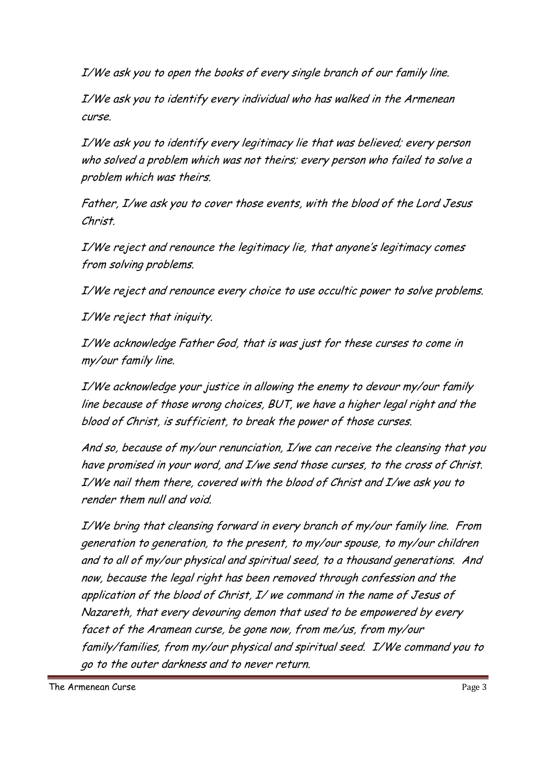I/We ask you to open the books of every single branch of our family line.

I/We ask you to identify every individual who has walked in the Armenean curse.

I/We ask you to identify every legitimacy lie that was believed; every person who solved a problem which was not theirs; every person who failed to solve a problem which was theirs.

Father, I/we ask you to cover those events, with the blood of the Lord Jesus Christ.

I/We reject and renounce the legitimacy lie, that anyone's legitimacy comes from solving problems.

I/We reject and renounce every choice to use occultic power to solve problems.

I/We reject that iniquity.

I/We acknowledge Father God, that is was just for these curses to come in my/our family line.

I/We acknowledge your justice in allowing the enemy to devour my/our family line because of those wrong choices, BUT, we have a higher legal right and the blood of Christ, is sufficient, to break the power of those curses.

And so, because of my/our renunciation, I/we can receive the cleansing that you have promised in your word, and I/we send those curses, to the cross of Christ. I/We nail them there, covered with the blood of Christ and I/we ask you to render them null and void.

I/We bring that cleansing forward in every branch of my/our family line. From generation to generation, to the present, to my/our spouse, to my/our children and to all of my/our physical and spiritual seed, to a thousand generations. And now, because the legal right has been removed through confession and the application of the blood of Christ, I/ we command in the name of Jesus of Nazareth, that every devouring demon that used to be empowered by every facet of the Aramean curse, be gone now, from me/us, from my/our family/families, from my/our physical and spiritual seed. I/We command you to go to the outer darkness and to never return.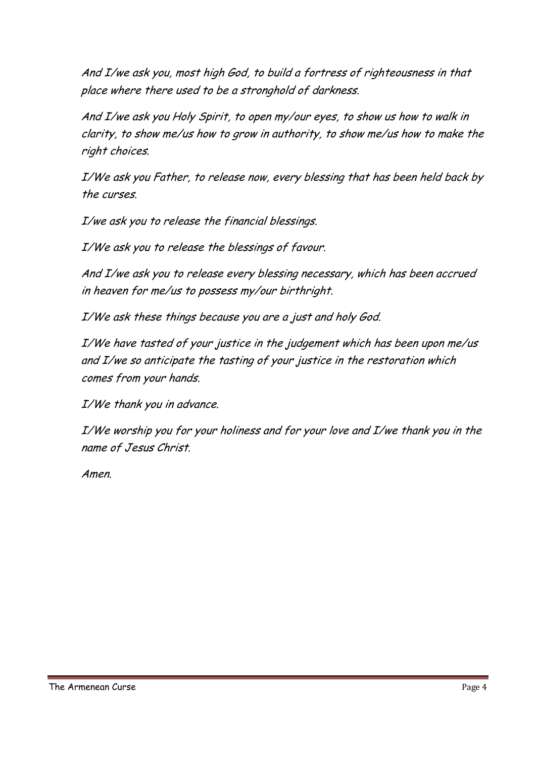And I/we ask you, most high God, to build a fortress of righteousness in that place where there used to be a stronghold of darkness.

And I/we ask you Holy Spirit, to open my/our eyes, to show us how to walk in clarity, to show me/us how to grow in authority, to show me/us how to make the right choices.

I/We ask you Father, to release now, every blessing that has been held back by the curses.

I/we ask you to release the financial blessings.

I/We ask you to release the blessings of favour.

And I/we ask you to release every blessing necessary, which has been accrued in heaven for me/us to possess my/our birthright.

I/We ask these things because you are a just and holy God.

I/We have tasted of your justice in the judgement which has been upon me/us and I/we so anticipate the tasting of your justice in the restoration which comes from your hands.

I/We thank you in advance.

I/We worship you for your holiness and for your love and I/we thank you in the name of Jesus Christ.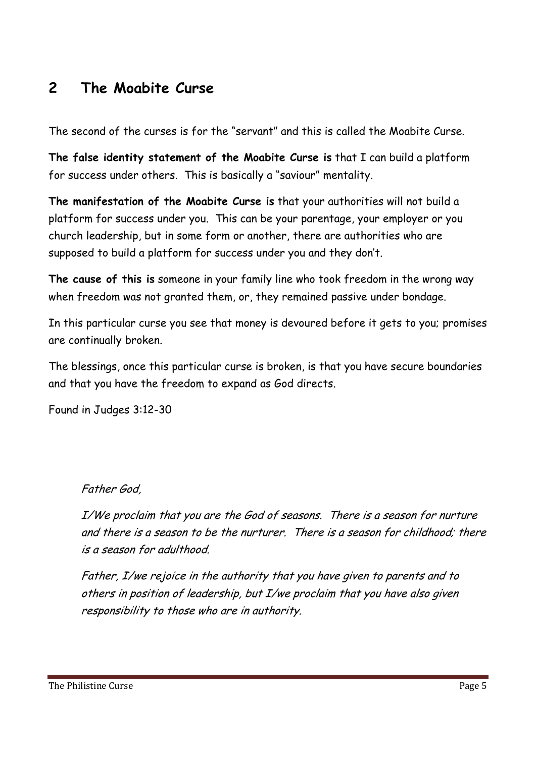### **2 The Moabite Curse**

The second of the curses is for the "servant" and this is called the Moabite Curse.

**The false identity statement of the Moabite Curse is** that I can build a platform for success under others. This is basically a "saviour" mentality.

**The manifestation of the Moabite Curse is** that your authorities will not build a platform for success under you. This can be your parentage, your employer or you church leadership, but in some form or another, there are authorities who are supposed to build a platform for success under you and they don't.

**The cause of this is** someone in your family line who took freedom in the wrong way when freedom was not granted them, or, they remained passive under bondage.

In this particular curse you see that money is devoured before it gets to you; promises are continually broken.

The blessings, once this particular curse is broken, is that you have secure boundaries and that you have the freedom to expand as God directs.

Found in Judges 3:12-30

#### Father God,

I/We proclaim that you are the God of seasons. There is a season for nurture and there is a season to be the nurturer. There is a season for childhood; there is a season for adulthood.

Father, I/we rejoice in the authority that you have given to parents and to others in position of leadership, but I/we proclaim that you have also given responsibility to those who are in authority.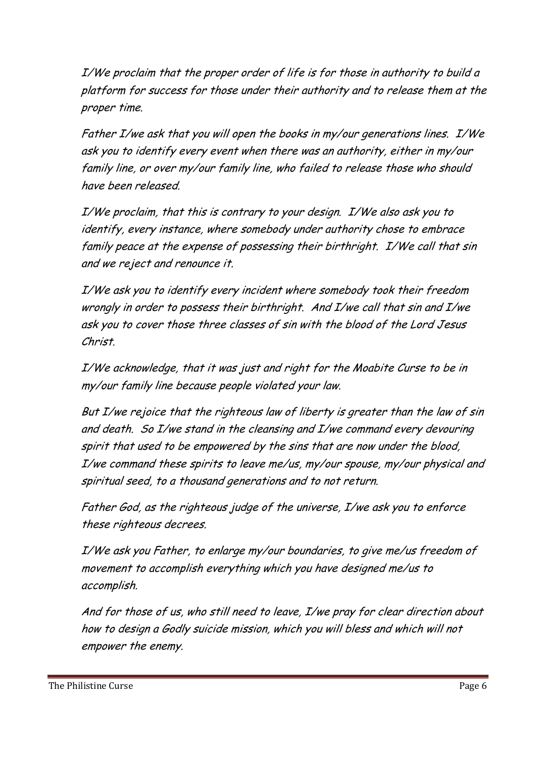I/We proclaim that the proper order of life is for those in authority to build a platform for success for those under their authority and to release them at the proper time.

Father I/we ask that you will open the books in my/our generations lines. I/We ask you to identify every event when there was an authority, either in my/our family line, or over my/our family line, who failed to release those who should have been released.

I/We proclaim, that this is contrary to your design. I/We also ask you to identify, every instance, where somebody under authority chose to embrace family peace at the expense of possessing their birthright. I/We call that sin and we reject and renounce it.

I/We ask you to identify every incident where somebody took their freedom wrongly in order to possess their birthright. And I/we call that sin and I/we ask you to cover those three classes of sin with the blood of the Lord Jesus Christ.

I/We acknowledge, that it was just and right for the Moabite Curse to be in my/our family line because people violated your law.

But I/we rejoice that the righteous law of liberty is greater than the law of sin and death. So I/we stand in the cleansing and I/we command every devouring spirit that used to be empowered by the sins that are now under the blood, I/we command these spirits to leave me/us, my/our spouse, my/our physical and spiritual seed, to a thousand generations and to not return.

Father God, as the righteous judge of the universe, I/we ask you to enforce these righteous decrees.

I/We ask you Father, to enlarge my/our boundaries, to give me/us freedom of movement to accomplish everything which you have designed me/us to accomplish.

And for those of us, who still need to leave, I/we pray for clear direction about how to design a Godly suicide mission, which you will bless and which will not empower the enemy.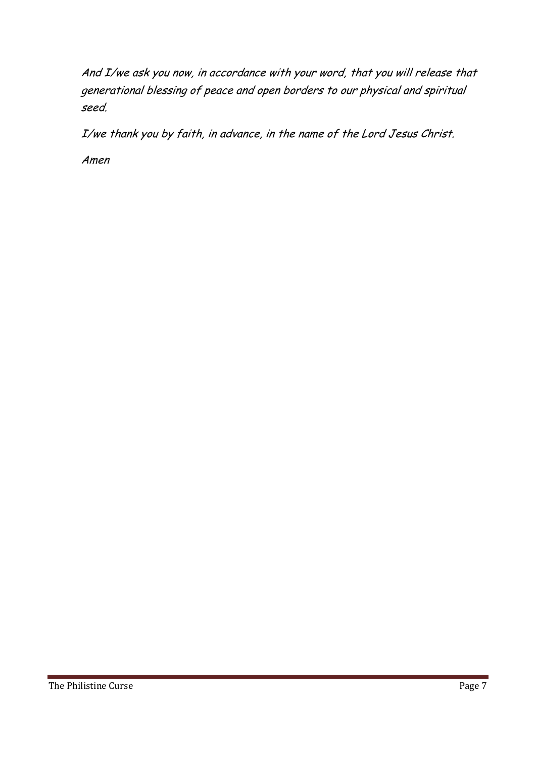And I/we ask you now, in accordance with your word, that you will release that generational blessing of peace and open borders to our physical and spiritual seed.

I/we thank you by faith, in advance, in the name of the Lord Jesus Christ.

Amen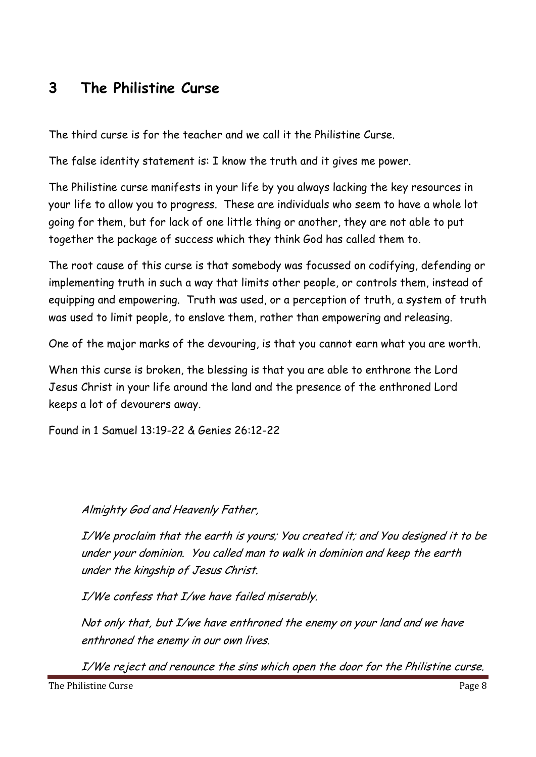### **3 The Philistine Curse**

The third curse is for the teacher and we call it the Philistine Curse.

The false identity statement is: I know the truth and it gives me power.

The Philistine curse manifests in your life by you always lacking the key resources in your life to allow you to progress. These are individuals who seem to have a whole lot going for them, but for lack of one little thing or another, they are not able to put together the package of success which they think God has called them to.

The root cause of this curse is that somebody was focussed on codifying, defending or implementing truth in such a way that limits other people, or controls them, instead of equipping and empowering. Truth was used, or a perception of truth, a system of truth was used to limit people, to enslave them, rather than empowering and releasing.

One of the major marks of the devouring, is that you cannot earn what you are worth.

When this curse is broken, the blessing is that you are able to enthrone the Lord Jesus Christ in your life around the land and the presence of the enthroned Lord keeps a lot of devourers away.

Found in 1 Samuel 13:19-22 & Genies 26:12-22

#### Almighty God and Heavenly Father,

I/We proclaim that the earth is yours; You created it; and You designed it to be under your dominion. You called man to walk in dominion and keep the earth under the kingship of Jesus Christ.

I/We confess that I/we have failed miserably.

Not only that, but I/we have enthroned the enemy on your land and we have enthroned the enemy in our own lives.

I/We reject and renounce the sins which open the door for the Philistine curse.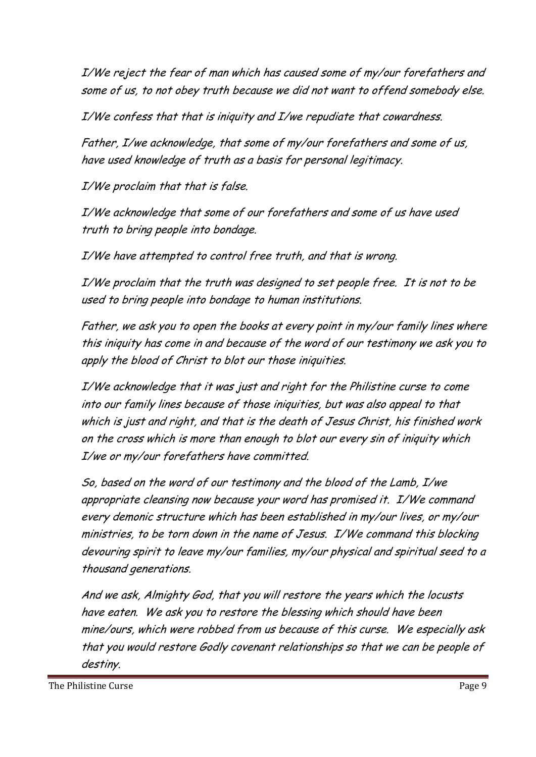I/We reject the fear of man which has caused some of my/our forefathers and some of us, to not obey truth because we did not want to offend somebody else.

I/We confess that that is iniquity and I/we repudiate that cowardness.

Father, I/we acknowledge, that some of my/our forefathers and some of us, have used knowledge of truth as a basis for personal legitimacy.

I/We proclaim that that is false.

I/We acknowledge that some of our forefathers and some of us have used truth to bring people into bondage.

I/We have attempted to control free truth, and that is wrong.

I/We proclaim that the truth was designed to set people free. It is not to be used to bring people into bondage to human institutions.

Father, we ask you to open the books at every point in my/our family lines where this iniquity has come in and because of the word of our testimony we ask you to apply the blood of Christ to blot our those iniquities.

I/We acknowledge that it was just and right for the Philistine curse to come into our family lines because of those iniquities, but was also appeal to that which is just and right, and that is the death of Jesus Christ, his finished work on the cross which is more than enough to blot our every sin of iniquity which I/we or my/our forefathers have committed.

So, based on the word of our testimony and the blood of the Lamb, I/we appropriate cleansing now because your word has promised it. I/We command every demonic structure which has been established in my/our lives, or my/our ministries, to be torn down in the name of Jesus. I/We command this blocking devouring spirit to leave my/our families, my/our physical and spiritual seed to a thousand generations.

And we ask, Almighty God, that you will restore the years which the locusts have eaten. We ask you to restore the blessing which should have been mine/ours, which were robbed from us because of this curse. We especially ask that you would restore Godly covenant relationships so that we can be people of destiny.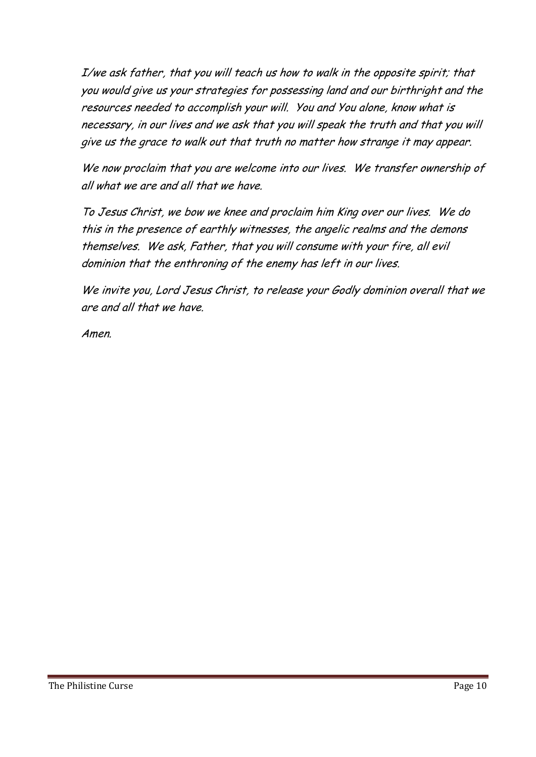I/we ask father, that you will teach us how to walk in the opposite spirit; that you would give us your strategies for possessing land and our birthright and the resources needed to accomplish your will. You and You alone, know what is necessary, in our lives and we ask that you will speak the truth and that you will give us the grace to walk out that truth no matter how strange it may appear.

We now proclaim that you are welcome into our lives. We transfer ownership of all what we are and all that we have.

To Jesus Christ, we bow we knee and proclaim him King over our lives. We do this in the presence of earthly witnesses, the angelic realms and the demons themselves. We ask, Father, that you will consume with your fire, all evil dominion that the enthroning of the enemy has left in our lives.

We invite you, Lord Jesus Christ, to release your Godly dominion overall that we are and all that we have.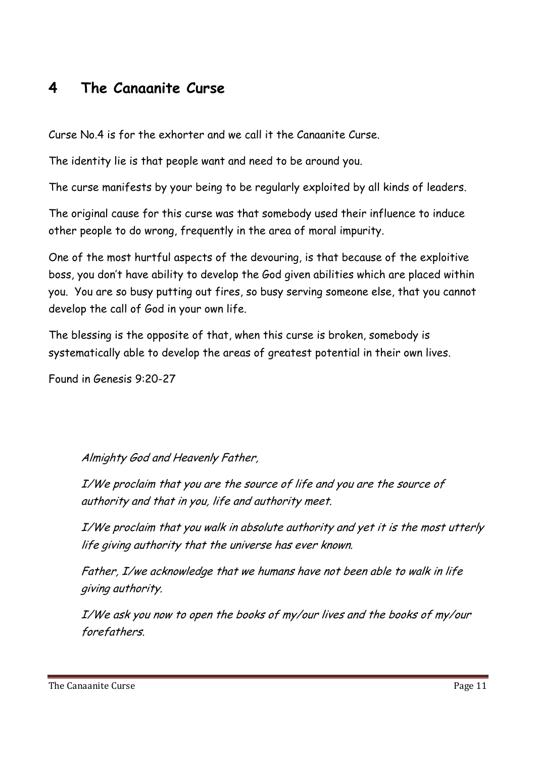### **4 The Canaanite Curse**

Curse No.4 is for the exhorter and we call it the Canaanite Curse.

The identity lie is that people want and need to be around you.

The curse manifests by your being to be regularly exploited by all kinds of leaders.

The original cause for this curse was that somebody used their influence to induce other people to do wrong, frequently in the area of moral impurity.

One of the most hurtful aspects of the devouring, is that because of the exploitive boss, you don't have ability to develop the God given abilities which are placed within you. You are so busy putting out fires, so busy serving someone else, that you cannot develop the call of God in your own life.

The blessing is the opposite of that, when this curse is broken, somebody is systematically able to develop the areas of greatest potential in their own lives.

Found in Genesis 9:20-27

Almighty God and Heavenly Father,

I/We proclaim that you are the source of life and you are the source of authority and that in you, life and authority meet.

I/We proclaim that you walk in absolute authority and yet it is the most utterly life giving authority that the universe has ever known.

Father, I/we acknowledge that we humans have not been able to walk in life giving authority.

I/We ask you now to open the books of my/our lives and the books of my/our forefathers.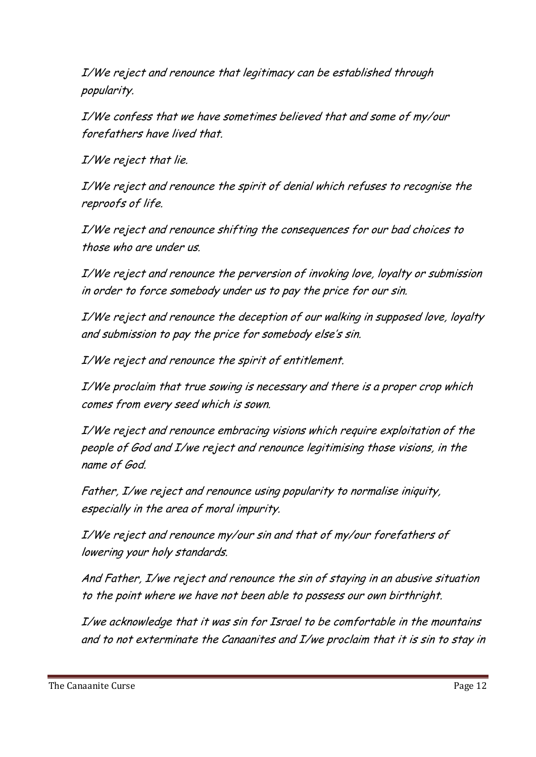I/We reject and renounce that legitimacy can be established through popularity.

I/We confess that we have sometimes believed that and some of my/our forefathers have lived that.

I/We reject that lie.

I/We reject and renounce the spirit of denial which refuses to recognise the reproofs of life.

I/We reject and renounce shifting the consequences for our bad choices to those who are under us.

I/We reject and renounce the perversion of invoking love, loyalty or submission in order to force somebody under us to pay the price for our sin.

I/We reject and renounce the deception of our walking in supposed love, loyalty and submission to pay the price for somebody else's sin.

I/We reject and renounce the spirit of entitlement.

I/We proclaim that true sowing is necessary and there is a proper crop which comes from every seed which is sown.

I/We reject and renounce embracing visions which require exploitation of the people of God and I/we reject and renounce legitimising those visions, in the name of God.

Father, I/we reject and renounce using popularity to normalise iniquity, especially in the area of moral impurity.

I/We reject and renounce my/our sin and that of my/our forefathers of lowering your holy standards.

And Father, I/we reject and renounce the sin of staying in an abusive situation to the point where we have not been able to possess our own birthright.

I/we acknowledge that it was sin for Israel to be comfortable in the mountains and to not exterminate the Canaanites and I/we proclaim that it is sin to stay in

The Canaanite Curse **Page 12**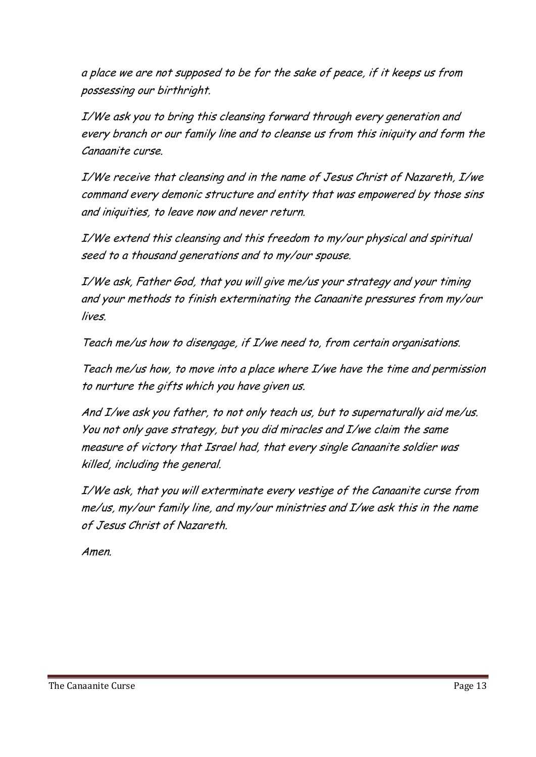a place we are not supposed to be for the sake of peace, if it keeps us from possessing our birthright.

I/We ask you to bring this cleansing forward through every generation and every branch or our family line and to cleanse us from this iniquity and form the Canaanite curse.

I/We receive that cleansing and in the name of Jesus Christ of Nazareth, I/we command every demonic structure and entity that was empowered by those sins and iniquities, to leave now and never return.

I/We extend this cleansing and this freedom to my/our physical and spiritual seed to a thousand generations and to my/our spouse.

I/We ask, Father God, that you will give me/us your strategy and your timing and your methods to finish exterminating the Canaanite pressures from my/our lives.

Teach me/us how to disengage, if I/we need to, from certain organisations.

Teach me/us how, to move into a place where I/we have the time and permission to nurture the gifts which you have given us.

And I/we ask you father, to not only teach us, but to supernaturally aid me/us. You not only gave strategy, but you did miracles and I/we claim the same measure of victory that Israel had, that every single Canaanite soldier was killed, including the general.

I/We ask, that you will exterminate every vestige of the Canaanite curse from me/us, my/our family line, and my/our ministries and I/we ask this in the name of Jesus Christ of Nazareth.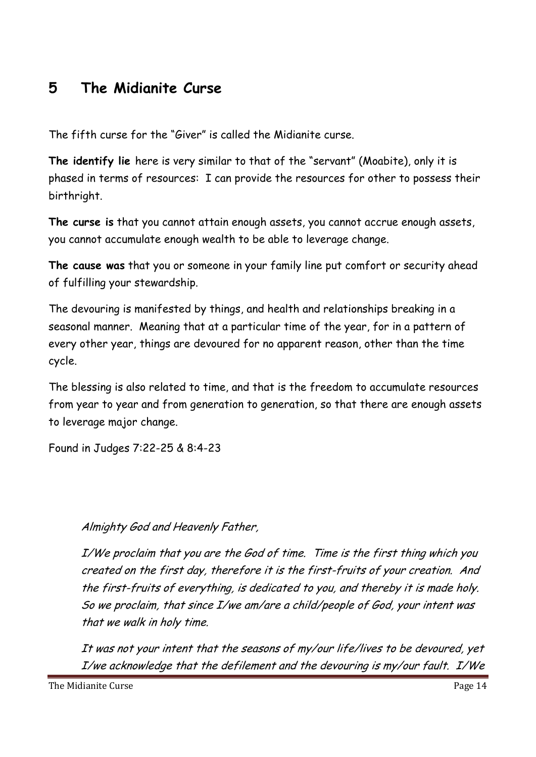### **5 The Midianite Curse**

The fifth curse for the "Giver" is called the Midianite curse.

**The identify lie** here is very similar to that of the "servant" (Moabite), only it is phased in terms of resources: I can provide the resources for other to possess their birthright.

**The curse is** that you cannot attain enough assets, you cannot accrue enough assets, you cannot accumulate enough wealth to be able to leverage change.

**The cause was** that you or someone in your family line put comfort or security ahead of fulfilling your stewardship.

The devouring is manifested by things, and health and relationships breaking in a seasonal manner. Meaning that at a particular time of the year, for in a pattern of every other year, things are devoured for no apparent reason, other than the time cycle.

The blessing is also related to time, and that is the freedom to accumulate resources from year to year and from generation to generation, so that there are enough assets to leverage major change.

Found in Judges 7:22-25 & 8:4-23

#### Almighty God and Heavenly Father,

I/We proclaim that you are the God of time. Time is the first thing which you created on the first day, therefore it is the first-fruits of your creation. And the first-fruits of everything, is dedicated to you, and thereby it is made holy. So we proclaim, that since I/we am/are a child/people of God, your intent was that we walk in holy time.

It was not your intent that the seasons of my/our life/lives to be devoured, yet I/we acknowledge that the defilement and the devouring is my/our fault. I/We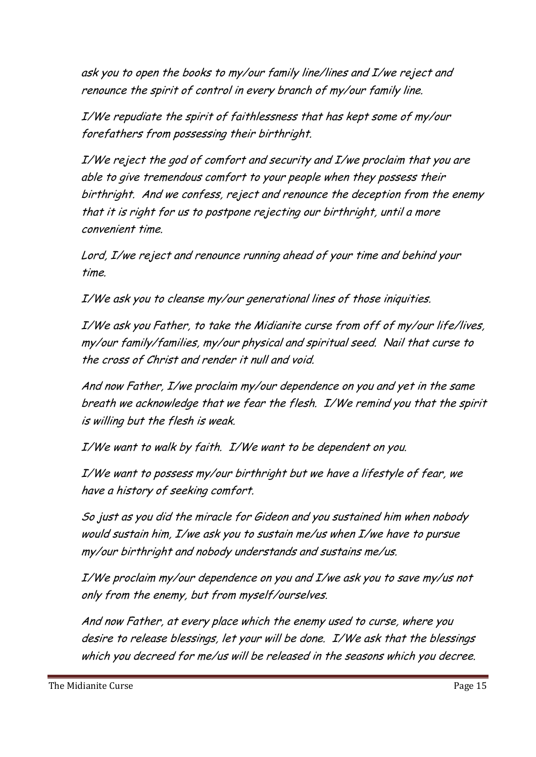ask you to open the books to my/our family line/lines and I/we reject and renounce the spirit of control in every branch of my/our family line.

I/We repudiate the spirit of faithlessness that has kept some of my/our forefathers from possessing their birthright.

I/We reject the god of comfort and security and I/we proclaim that you are able to give tremendous comfort to your people when they possess their birthright. And we confess, reject and renounce the deception from the enemy that it is right for us to postpone rejecting our birthright, until a more convenient time.

Lord, I/we reject and renounce running ahead of your time and behind your time.

I/We ask you to cleanse my/our generational lines of those iniquities.

I/We ask you Father, to take the Midianite curse from off of my/our life/lives, my/our family/families, my/our physical and spiritual seed. Nail that curse to the cross of Christ and render it null and void.

And now Father, I/we proclaim my/our dependence on you and yet in the same breath we acknowledge that we fear the flesh. I/We remind you that the spirit is willing but the flesh is weak.

I/We want to walk by faith. I/We want to be dependent on you.

I/We want to possess my/our birthright but we have a lifestyle of fear, we have a history of seeking comfort.

So just as you did the miracle for Gideon and you sustained him when nobody would sustain him, I/we ask you to sustain me/us when I/we have to pursue my/our birthright and nobody understands and sustains me/us.

I/We proclaim my/our dependence on you and I/we ask you to save my/us not only from the enemy, but from myself/ourselves.

And now Father, at every place which the enemy used to curse, where you desire to release blessings, let your will be done. I/We ask that the blessings which you decreed for me/us will be released in the seasons which you decree.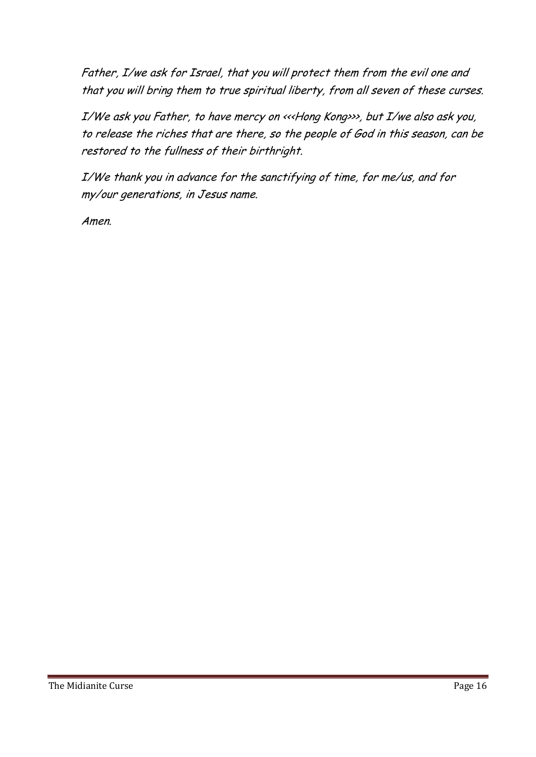Father, I/we ask for Israel, that you will protect them from the evil one and that you will bring them to true spiritual liberty, from all seven of these curses.

I/We ask you Father, to have mercy on <<<Hong Kong>>>, but I/we also ask you, to release the riches that are there, so the people of God in this season, can be restored to the fullness of their birthright.

I/We thank you in advance for the sanctifying of time, for me/us, and for my/our generations, in Jesus name.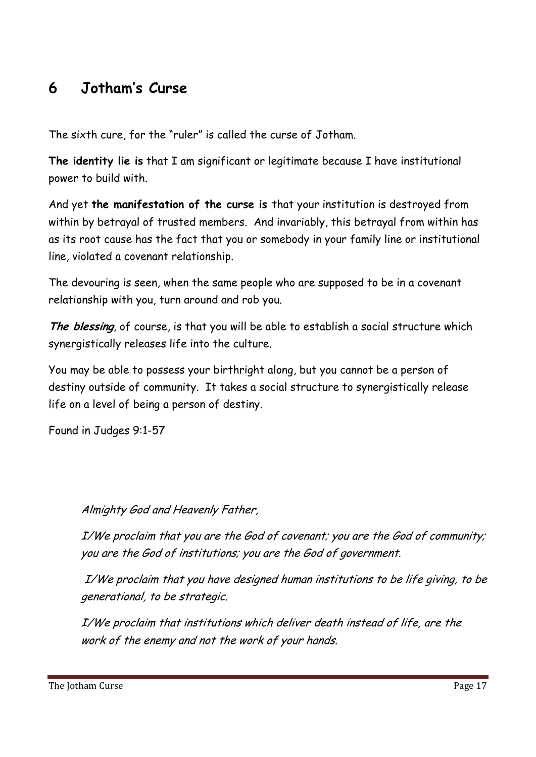### **6 Jotham's Curse**

The sixth cure, for the "ruler" is called the curse of Jotham.

**The identity lie is** that I am significant or legitimate because I have institutional power to build with.

And yet **the manifestation of the curse is** that your institution is destroyed from within by betrayal of trusted members. And invariably, this betrayal from within has as its root cause has the fact that you or somebody in your family line or institutional line, violated a covenant relationship.

The devouring is seen, when the same people who are supposed to be in a covenant relationship with you, turn around and rob you.

**The blessing**, of course, is that you will be able to establish a social structure which synergistically releases life into the culture.

You may be able to possess your birthright along, but you cannot be a person of destiny outside of community. It takes a social structure to synergistically release life on a level of being a person of destiny.

Found in Judges 9:1-57

#### Almighty God and Heavenly Father,

I/We proclaim that you are the God of covenant; you are the God of community; you are the God of institutions; you are the God of government.

 I/We proclaim that you have designed human institutions to be life giving, to be generational, to be strategic.

I/We proclaim that institutions which deliver death instead of life, are the work of the enemy and not the work of your hands.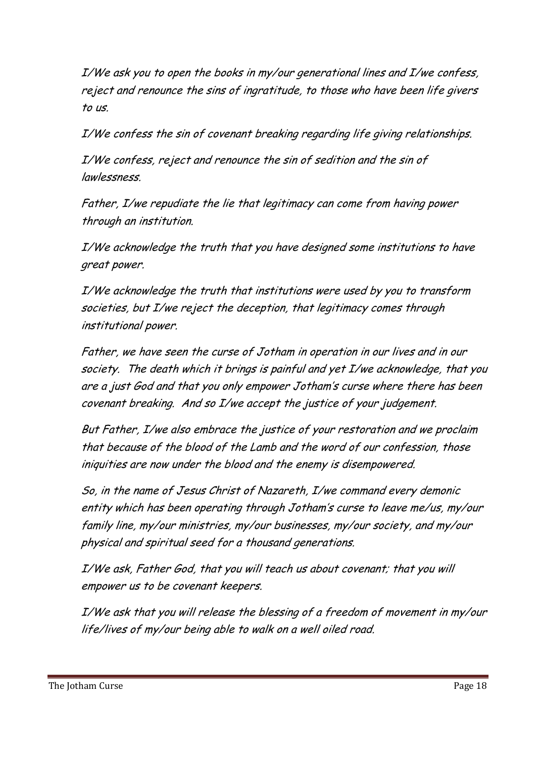I/We ask you to open the books in my/our generational lines and I/we confess, reject and renounce the sins of ingratitude, to those who have been life givers to us.

I/We confess the sin of covenant breaking regarding life giving relationships.

I/We confess, reject and renounce the sin of sedition and the sin of lawlessness.

Father, I/we repudiate the lie that legitimacy can come from having power through an institution.

I/We acknowledge the truth that you have designed some institutions to have great power.

I/We acknowledge the truth that institutions were used by you to transform societies, but I/we reject the deception, that legitimacy comes through institutional power.

Father, we have seen the curse of Jotham in operation in our lives and in our society. The death which it brings is painful and yet I/we acknowledge, that you are a just God and that you only empower Jotham's curse where there has been covenant breaking. And so I/we accept the justice of your judgement.

But Father, I/we also embrace the justice of your restoration and we proclaim that because of the blood of the Lamb and the word of our confession, those iniquities are now under the blood and the enemy is disempowered.

So, in the name of Jesus Christ of Nazareth, I/we command every demonic entity which has been operating through Jotham's curse to leave me/us, my/our family line, my/our ministries, my/our businesses, my/our society, and my/our physical and spiritual seed for a thousand generations.

I/We ask, Father God, that you will teach us about covenant; that you will empower us to be covenant keepers.

I/We ask that you will release the blessing of a freedom of movement in my/our life/lives of my/our being able to walk on a well oiled road.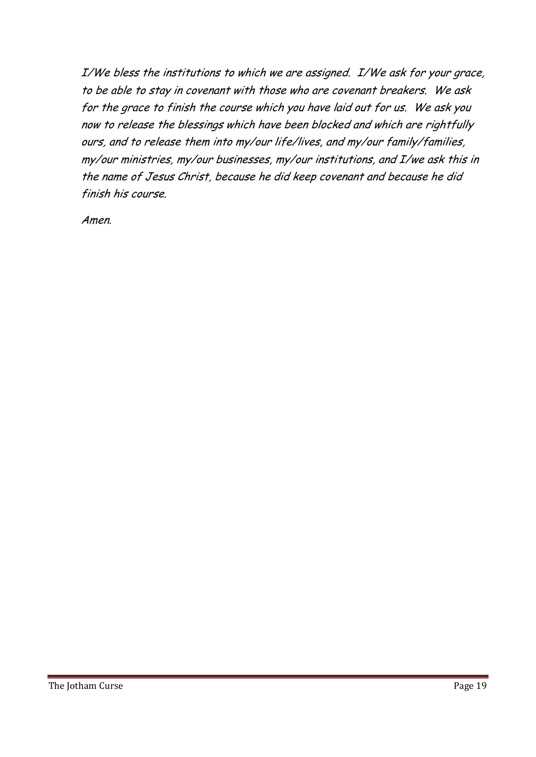I/We bless the institutions to which we are assigned. I/We ask for your grace, to be able to stay in covenant with those who are covenant breakers. We ask for the grace to finish the course which you have laid out for us. We ask you now to release the blessings which have been blocked and which are rightfully ours, and to release them into my/our life/lives, and my/our family/families, my/our ministries, my/our businesses, my/our institutions, and I/we ask this in the name of Jesus Christ, because he did keep covenant and because he did finish his course.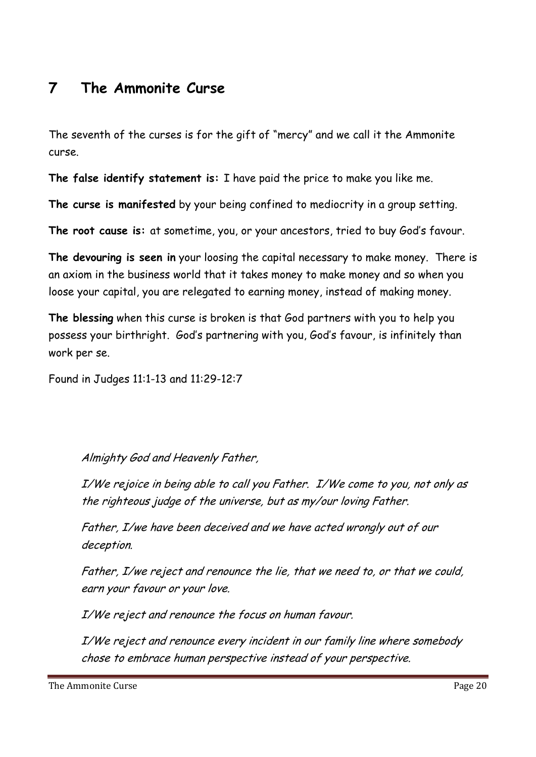#### **7 The Ammonite Curse**

The seventh of the curses is for the gift of "mercy" and we call it the Ammonite curse.

**The false identify statement is:** I have paid the price to make you like me.

**The curse is manifested** by your being confined to mediocrity in a group setting.

**The root cause is:** at sometime, you, or your ancestors, tried to buy God's favour.

**The devouring is seen in** your loosing the capital necessary to make money. There is an axiom in the business world that it takes money to make money and so when you loose your capital, you are relegated to earning money, instead of making money.

**The blessing** when this curse is broken is that God partners with you to help you possess your birthright. God's partnering with you, God's favour, is infinitely than work per se.

Found in Judges 11:1-13 and 11:29-12:7

Almighty God and Heavenly Father,

I/We rejoice in being able to call you Father. I/We come to you, not only as the righteous judge of the universe, but as my/our loving Father.

Father, I/we have been deceived and we have acted wrongly out of our deception.

Father, I/we reject and renounce the lie, that we need to, or that we could, earn your favour or your love.

I/We reject and renounce the focus on human favour.

I/We reject and renounce every incident in our family line where somebody chose to embrace human perspective instead of your perspective.

The Ammonite Curse **Page 20**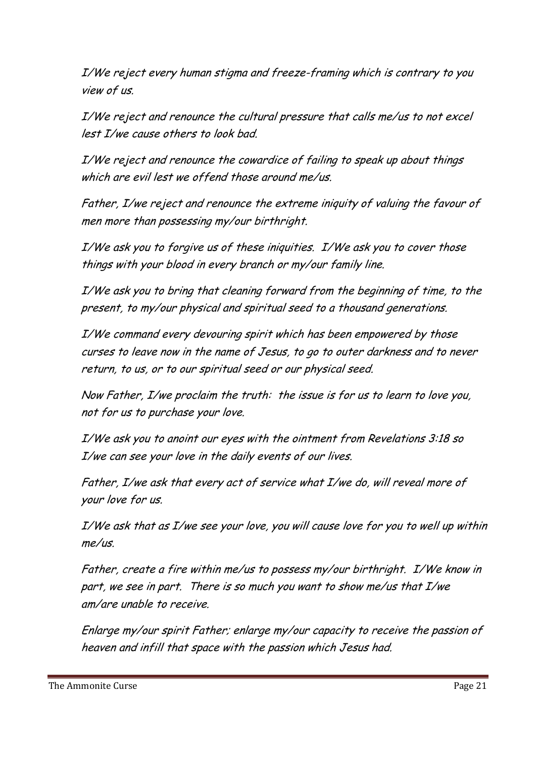I/We reject every human stigma and freeze-framing which is contrary to you view of us.

I/We reject and renounce the cultural pressure that calls me/us to not excel lest I/we cause others to look bad.

I/We reject and renounce the cowardice of failing to speak up about things which are evil lest we offend those around me/us.

Father, I/we reject and renounce the extreme iniquity of valuing the favour of men more than possessing my/our birthright.

I/We ask you to forgive us of these iniquities. I/We ask you to cover those things with your blood in every branch or my/our family line.

I/We ask you to bring that cleaning forward from the beginning of time, to the present, to my/our physical and spiritual seed to a thousand generations.

I/We command every devouring spirit which has been empowered by those curses to leave now in the name of Jesus, to go to outer darkness and to never return, to us, or to our spiritual seed or our physical seed.

Now Father, I/we proclaim the truth: the issue is for us to learn to love you, not for us to purchase your love.

I/We ask you to anoint our eyes with the ointment from Revelations 3:18 so I/we can see your love in the daily events of our lives.

Father, I/we ask that every act of service what I/we do, will reveal more of your love for us.

I/We ask that as I/we see your love, you will cause love for you to well up within  $me/us$ 

Father, create a fire within me/us to possess my/our birthright. I/We know in part, we see in part. There is so much you want to show me/us that I/we am/are unable to receive.

Enlarge my/our spirit Father; enlarge my/our capacity to receive the passion of heaven and infill that space with the passion which Jesus had.

The Ammonite Curse **Page 21**